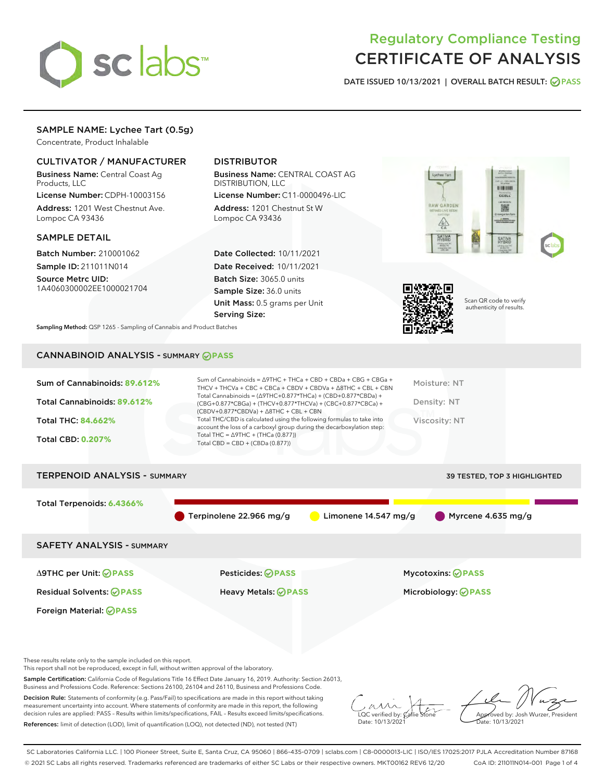

## Regulatory Compliance Testing CERTIFICATE OF ANALYSIS

DATE ISSUED 10/13/2021 | OVERALL BATCH RESULT: @ PASS

## SAMPLE NAME: Lychee Tart (0.5g)

Concentrate, Product Inhalable

## CULTIVATOR / MANUFACTURER

Business Name: Central Coast Ag Products, LLC

License Number: CDPH-10003156 Address: 1201 West Chestnut Ave. Lompoc CA 93436

#### SAMPLE DETAIL

Batch Number: 210001062 Sample ID: 211011N014

Source Metrc UID: 1A4060300002EE1000021704

## DISTRIBUTOR

Business Name: CENTRAL COAST AG DISTRIBUTION, LLC

License Number: C11-0000496-LIC Address: 1201 Chestnut St W Lompoc CA 93436

Date Collected: 10/11/2021 Date Received: 10/11/2021 Batch Size: 3065.0 units Sample Size: 36.0 units Unit Mass: 0.5 grams per Unit Serving Size:





Scan QR code to verify authenticity of results.

Sampling Method: QSP 1265 - Sampling of Cannabis and Product Batches

## CANNABINOID ANALYSIS - SUMMARY **PASS**

| Sum of Cannabinoids: 89.612%<br>THCV + THCVa + CBC + CBCa + CBDV + CBDVa + $\land$ 8THC + CBL + CBN                                                                                                                 | Sum of Cannabinoids = $\triangle$ 9THC + THCa + CBD + CBDa + CBG + CBGa +<br>Moisture: NT |
|---------------------------------------------------------------------------------------------------------------------------------------------------------------------------------------------------------------------|-------------------------------------------------------------------------------------------|
| Total Cannabinoids = $(\Delta$ 9THC+0.877*THCa) + (CBD+0.877*CBDa) +<br>Total Cannabinoids: 89.612%<br>(CBG+0.877*CBGa) + (THCV+0.877*THCVa) + (CBC+0.877*CBCa) +<br>$(CBDV+0.877*CBDVa) + \Delta 8THC + CBL + CBN$ | Density: NT                                                                               |
| Total THC/CBD is calculated using the following formulas to take into<br><b>Total THC: 84.662%</b><br>account the loss of a carboxyl group during the decarboxylation step:                                         | Viscosity: NT                                                                             |
| Total THC = $\triangle$ 9THC + (THCa (0.877))<br><b>Total CBD: 0.207%</b><br>Total CBD = $CBD + (CBDa (0.877))$                                                                                                     |                                                                                           |

# TERPENOID ANALYSIS - SUMMARY 39 TESTED, TOP 3 HIGHLIGHTED Total Terpenoids: **6.4366%** Terpinolene 22.966 mg/g Limonene 14.547 mg/g Myrcene 4.635 mg/g SAFETY ANALYSIS - SUMMARY Δ9THC per Unit: **PASS** Pesticides: **PASS** Mycotoxins: **PASS**

Foreign Material: **PASS**

Residual Solvents: **PASS** Heavy Metals: **PASS** Microbiology: **PASS**

These results relate only to the sample included on this report.

This report shall not be reproduced, except in full, without written approval of the laboratory.

Sample Certification: California Code of Regulations Title 16 Effect Date January 16, 2019. Authority: Section 26013, Business and Professions Code. Reference: Sections 26100, 26104 and 26110, Business and Professions Code.

Decision Rule: Statements of conformity (e.g. Pass/Fail) to specifications are made in this report without taking measurement uncertainty into account. Where statements of conformity are made in this report, the following decision rules are applied: PASS – Results within limits/specifications, FAIL – Results exceed limits/specifications. References: limit of detection (LOD), limit of quantification (LOQ), not detected (ND), not tested (NT)

 $\overline{\text{LOC}}$  verified by:  $\mathcal C$ Date: 10/13/2021

Approved by: Josh Wurzer, President Date: 10/13/2021

SC Laboratories California LLC. | 100 Pioneer Street, Suite E, Santa Cruz, CA 95060 | 866-435-0709 | sclabs.com | C8-0000013-LIC | ISO/IES 17025:2017 PJLA Accreditation Number 87168 © 2021 SC Labs all rights reserved. Trademarks referenced are trademarks of either SC Labs or their respective owners. MKT00162 REV6 12/20 CoA ID: 211011N014-001 Page 1 of 4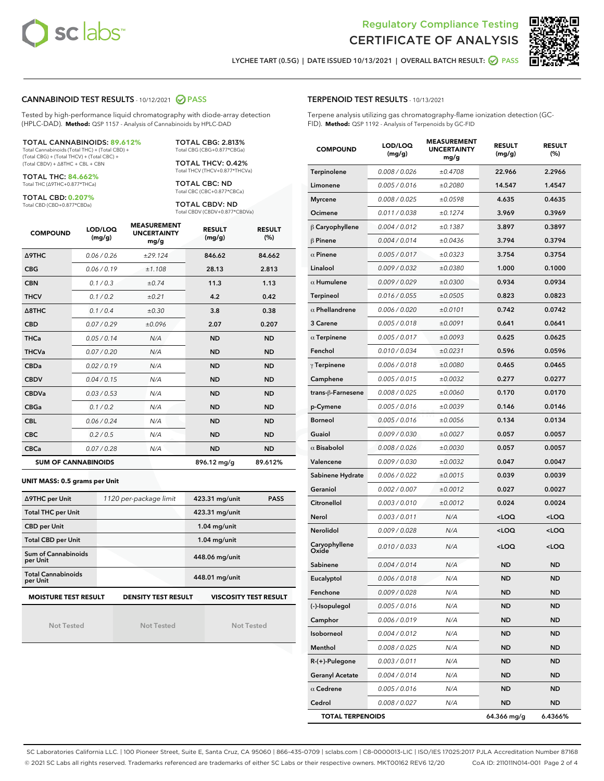



LYCHEE TART (0.5G) | DATE ISSUED 10/13/2021 | OVERALL BATCH RESULT: 2 PASS

#### CANNABINOID TEST RESULTS - 10/12/2021 2 PASS

Tested by high-performance liquid chromatography with diode-array detection (HPLC-DAD). **Method:** QSP 1157 - Analysis of Cannabinoids by HPLC-DAD

#### TOTAL CANNABINOIDS: **89.612%**

Total Cannabinoids (Total THC) + (Total CBD) + (Total CBG) + (Total THCV) + (Total CBC) + (Total CBDV) + ∆8THC + CBL + CBN

TOTAL THC: **84.662%** Total THC (∆9THC+0.877\*THCa)

TOTAL CBD: **0.207%**

Total CBD (CBD+0.877\*CBDa)

TOTAL CBG: 2.813% Total CBG (CBG+0.877\*CBGa)

TOTAL THCV: 0.42% Total THCV (THCV+0.877\*THCVa)

TOTAL CBC: ND Total CBC (CBC+0.877\*CBCa)

TOTAL CBDV: ND Total CBDV (CBDV+0.877\*CBDVa)

| <b>COMPOUND</b>            | LOD/LOQ<br>(mg/g) | <b>MEASUREMENT</b><br><b>UNCERTAINTY</b><br>mg/g | <b>RESULT</b><br>(mg/g) | <b>RESULT</b><br>(%) |
|----------------------------|-------------------|--------------------------------------------------|-------------------------|----------------------|
| <b>A9THC</b>               | 0.06 / 0.26       | ±29.124                                          | 846.62                  | 84.662               |
| <b>CBG</b>                 | 0.06/0.19         | ±1.108                                           | 28.13                   | 2.813                |
| <b>CBN</b>                 | 0.1 / 0.3         | ±0.74                                            | 11.3                    | 1.13                 |
| <b>THCV</b>                | 0.1/0.2           | ±0.21                                            | 4.2                     | 0.42                 |
| $\triangle$ 8THC           | 0.1 / 0.4         | ±0.30                                            | 3.8                     | 0.38                 |
| <b>CBD</b>                 | 0.07/0.29         | ±0.096                                           | 2.07                    | 0.207                |
| <b>THCa</b>                | 0.05/0.14         | N/A                                              | <b>ND</b>               | <b>ND</b>            |
| <b>THCVa</b>               | 0.07/0.20         | N/A                                              | <b>ND</b>               | <b>ND</b>            |
| <b>CBDa</b>                | 0.02/0.19         | N/A                                              | <b>ND</b>               | <b>ND</b>            |
| <b>CBDV</b>                | 0.04/0.15         | N/A                                              | <b>ND</b>               | <b>ND</b>            |
| <b>CBDVa</b>               | 0.03/0.53         | N/A                                              | <b>ND</b>               | <b>ND</b>            |
| <b>CBGa</b>                | 0.1/0.2           | N/A                                              | <b>ND</b>               | <b>ND</b>            |
| <b>CBL</b>                 | 0.06 / 0.24       | N/A                                              | <b>ND</b>               | <b>ND</b>            |
| <b>CBC</b>                 | 0.2 / 0.5         | N/A                                              | <b>ND</b>               | <b>ND</b>            |
| <b>CBCa</b>                | 0.07 / 0.28       | N/A                                              | <b>ND</b>               | <b>ND</b>            |
| <b>SUM OF CANNABINOIDS</b> |                   |                                                  | 896.12 mg/g             | 89.612%              |

#### **UNIT MASS: 0.5 grams per Unit**

| ∆9THC per Unit                        | 1120 per-package limit     | 423.31 mg/unit<br><b>PASS</b> |
|---------------------------------------|----------------------------|-------------------------------|
| <b>Total THC per Unit</b>             |                            | 423.31 mg/unit                |
| <b>CBD</b> per Unit                   |                            | $1.04$ mg/unit                |
| <b>Total CBD per Unit</b>             |                            | $1.04$ mg/unit                |
| Sum of Cannabinoids<br>per Unit       |                            | 448.06 mg/unit                |
| <b>Total Cannabinoids</b><br>per Unit |                            | 448.01 mg/unit                |
| <b>MOISTURE TEST RESULT</b>           | <b>DENSITY TEST RESULT</b> | <b>VISCOSITY TEST RESULT</b>  |

Not Tested

Not Tested

Not Tested

#### TERPENOID TEST RESULTS - 10/13/2021

Terpene analysis utilizing gas chromatography-flame ionization detection (GC-FID). **Method:** QSP 1192 - Analysis of Terpenoids by GC-FID

| <b>COMPOUND</b>         | LOD/LOQ<br>(mg/g) | <b>MEASUREMENT</b><br><b>UNCERTAINTY</b><br>mg/g | <b>RESULT</b><br>(mg/g)                         | <b>RESULT</b><br>(%) |
|-------------------------|-------------------|--------------------------------------------------|-------------------------------------------------|----------------------|
| Terpinolene             | 0.008 / 0.026     | ±0.4708                                          | 22.966                                          | 2.2966               |
| Limonene                | 0.005 / 0.016     | ±0.2080                                          | 14.547                                          | 1.4547               |
| <b>Myrcene</b>          | 0.008 / 0.025     | ±0.0598                                          | 4.635                                           | 0.4635               |
| Ocimene                 | 0.011 / 0.038     | ±0.1274                                          | 3.969                                           | 0.3969               |
| $\beta$ Caryophyllene   | 0.004 / 0.012     | ±0.1387                                          | 3.897                                           | 0.3897               |
| $\beta$ Pinene          | 0.004 / 0.014     | ±0.0436                                          | 3.794                                           | 0.3794               |
| $\alpha$ Pinene         | 0.005 / 0.017     | ±0.0323                                          | 3.754                                           | 0.3754               |
| Linalool                | 0.009 / 0.032     | ±0.0380                                          | 1.000                                           | 0.1000               |
| $\alpha$ Humulene       | 0.009 / 0.029     | ±0.0300                                          | 0.934                                           | 0.0934               |
| <b>Terpineol</b>        | 0.016 / 0.055     | ±0.0505                                          | 0.823                                           | 0.0823               |
| $\alpha$ Phellandrene   | 0.006 / 0.020     | ±0.0101                                          | 0.742                                           | 0.0742               |
| 3 Carene                | 0.005 / 0.018     | ±0.0091                                          | 0.641                                           | 0.0641               |
| $\alpha$ Terpinene      | 0.005 / 0.017     | ±0.0093                                          | 0.625                                           | 0.0625               |
| Fenchol                 | 0.010 / 0.034     | ±0.0231                                          | 0.596                                           | 0.0596               |
| $\gamma$ Terpinene      | 0.006 / 0.018     | ±0.0080                                          | 0.465                                           | 0.0465               |
| Camphene                | 0.005 / 0.015     | ±0.0032                                          | 0.277                                           | 0.0277               |
| trans-ß-Farnesene       | 0.008 / 0.025     | ±0.0060                                          | 0.170                                           | 0.0170               |
| p-Cymene                | 0.005 / 0.016     | ±0.0039                                          | 0.146                                           | 0.0146               |
| <b>Borneol</b>          | 0.005 / 0.016     | ±0.0056                                          | 0.134                                           | 0.0134               |
| Guaiol                  | 0.009 / 0.030     | ±0.0027                                          | 0.057                                           | 0.0057               |
| $\alpha$ Bisabolol      | 0.008 / 0.026     | ±0.0030                                          | 0.057                                           | 0.0057               |
| Valencene               | 0.009 / 0.030     | ±0.0032                                          | 0.047                                           | 0.0047               |
| Sabinene Hydrate        | 0.006 / 0.022     | ±0.0015                                          | 0.039                                           | 0.0039               |
| Geraniol                | 0.002 / 0.007     | ±0.0012                                          | 0.027                                           | 0.0027               |
| Citronellol             | 0.003 / 0.010     | ±0.0012                                          | 0.024                                           | 0.0024               |
| Nerol                   | 0.003 / 0.011     | N/A                                              | <loq< th=""><th><loq< th=""></loq<></th></loq<> | <loq< th=""></loq<>  |
| Nerolidol               | 0.009 / 0.028     | N/A                                              | <loq< th=""><th><loq< th=""></loq<></th></loq<> | <loq< th=""></loq<>  |
| Caryophyllene<br>Oxide  | 0.010 / 0.033     | N/A                                              | <loq< th=""><th><loq< th=""></loq<></th></loq<> | <loq< th=""></loq<>  |
| Sabinene                | 0.004 / 0.014     | N/A                                              | ND                                              | <b>ND</b>            |
| Eucalyptol              | 0.006 / 0.018     | N/A                                              | ND                                              | <b>ND</b>            |
| Fenchone                | 0.009 / 0.028     | N/A                                              | ND                                              | ND                   |
| (-)-Isopulegol          | 0.005 / 0.016     | N/A                                              | ND                                              | <b>ND</b>            |
| Camphor                 | 0.006 / 0.019     | N/A                                              | ND                                              | ND                   |
| Isoborneol              | 0.004 / 0.012     | N/A                                              | ND                                              | <b>ND</b>            |
| Menthol                 | 0.008 / 0.025     | N/A                                              | ND                                              | ND                   |
| R-(+)-Pulegone          | 0.003 / 0.011     | N/A                                              | ND                                              | ND                   |
| <b>Geranyl Acetate</b>  | 0.004 / 0.014     | N/A                                              | ND                                              | <b>ND</b>            |
| $\alpha$ Cedrene        | 0.005 / 0.016     | N/A                                              | ND                                              | ND                   |
| Cedrol                  | 0.008 / 0.027     | N/A                                              | ND                                              | <b>ND</b>            |
| <b>TOTAL TERPENOIDS</b> |                   |                                                  | 64.366 mg/g                                     | 6.4366%              |

SC Laboratories California LLC. | 100 Pioneer Street, Suite E, Santa Cruz, CA 95060 | 866-435-0709 | sclabs.com | C8-0000013-LIC | ISO/IES 17025:2017 PJLA Accreditation Number 87168 © 2021 SC Labs all rights reserved. Trademarks referenced are trademarks of either SC Labs or their respective owners. MKT00162 REV6 12/20 CoA ID: 211011N014-001 Page 2 of 4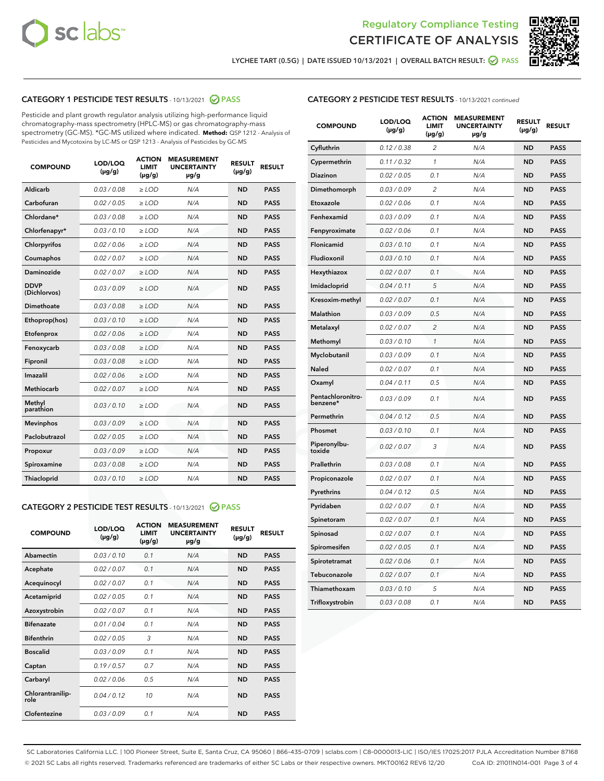



LYCHEE TART (0.5G) | DATE ISSUED 10/13/2021 | OVERALL BATCH RESULT: ● PASS

## CATEGORY 1 PESTICIDE TEST RESULTS - 10/13/2021 2 PASS

Pesticide and plant growth regulator analysis utilizing high-performance liquid chromatography-mass spectrometry (HPLC-MS) or gas chromatography-mass spectrometry (GC-MS). \*GC-MS utilized where indicated. **Method:** QSP 1212 - Analysis of Pesticides and Mycotoxins by LC-MS or QSP 1213 - Analysis of Pesticides by GC-MS

| 0.03 / 0.08<br><b>ND</b><br><b>PASS</b><br>Aldicarb<br>$\ge$ LOD<br>N/A<br>Carbofuran<br>0.02 / 0.05<br>$\ge$ LOD<br>N/A<br><b>ND</b><br><b>PASS</b><br>Chlordane*<br>0.03 / 0.08<br>$\ge$ LOD<br>N/A<br><b>ND</b><br><b>PASS</b><br>Chlorfenapyr*<br>0.03/0.10<br>$\ge$ LOD<br>N/A<br><b>ND</b><br><b>PASS</b><br>Chlorpyrifos<br>0.02 / 0.06<br>N/A<br><b>ND</b><br><b>PASS</b><br>$\ge$ LOD<br>Coumaphos<br>0.02 / 0.07<br>N/A<br><b>ND</b><br><b>PASS</b><br>$\ge$ LOD<br>Daminozide<br>0.02 / 0.07<br>N/A<br><b>ND</b><br><b>PASS</b><br>$\ge$ LOD<br><b>DDVP</b><br>0.03/0.09<br>$>$ LOD<br>N/A<br><b>ND</b><br><b>PASS</b><br>(Dichlorvos)<br><b>Dimethoate</b><br>0.03 / 0.08<br>$\ge$ LOD<br><b>ND</b><br><b>PASS</b><br>N/A<br>0.03/0.10<br>N/A<br><b>ND</b><br><b>PASS</b><br>Ethoprop(hos)<br>$>$ LOD<br>N/A<br><b>ND</b><br><b>PASS</b><br>Etofenprox<br>0.02 / 0.06<br>$\ge$ LOD<br>Fenoxycarb<br>0.03 / 0.08<br>$\ge$ LOD<br>N/A<br><b>ND</b><br><b>PASS</b><br>0.03 / 0.08<br>$\ge$ LOD<br>N/A<br><b>ND</b><br><b>PASS</b><br>Fipronil<br>Imazalil<br>0.02 / 0.06<br>$\geq$ LOD<br>N/A<br><b>ND</b><br><b>PASS</b><br><b>Methiocarb</b><br>0.02 / 0.07<br>$\ge$ LOD<br>N/A<br><b>ND</b><br><b>PASS</b><br>Methyl<br>0.03/0.10<br>N/A<br><b>ND</b><br><b>PASS</b><br>$\ge$ LOD<br>parathion<br>0.03/0.09<br><b>Mevinphos</b><br>$\ge$ LOD<br>N/A<br><b>ND</b><br><b>PASS</b><br>Paclobutrazol<br>0.02 / 0.05<br>$>$ LOD<br>N/A<br><b>ND</b><br><b>PASS</b><br>0.03 / 0.09<br>N/A<br>$\ge$ LOD<br><b>ND</b><br><b>PASS</b><br>Propoxur<br>0.03 / 0.08<br><b>ND</b><br><b>PASS</b><br>Spiroxamine<br>$\ge$ LOD<br>N/A<br>Thiacloprid<br>0.03/0.10<br>$\ge$ LOD<br>N/A<br><b>ND</b><br><b>PASS</b> | <b>COMPOUND</b> | LOD/LOQ<br>$(\mu g/g)$ | <b>ACTION</b><br><b>LIMIT</b><br>$(\mu g/g)$ | <b>MEASUREMENT</b><br><b>UNCERTAINTY</b><br>$\mu$ g/g | <b>RESULT</b><br>$(\mu g/g)$ | <b>RESULT</b> |
|----------------------------------------------------------------------------------------------------------------------------------------------------------------------------------------------------------------------------------------------------------------------------------------------------------------------------------------------------------------------------------------------------------------------------------------------------------------------------------------------------------------------------------------------------------------------------------------------------------------------------------------------------------------------------------------------------------------------------------------------------------------------------------------------------------------------------------------------------------------------------------------------------------------------------------------------------------------------------------------------------------------------------------------------------------------------------------------------------------------------------------------------------------------------------------------------------------------------------------------------------------------------------------------------------------------------------------------------------------------------------------------------------------------------------------------------------------------------------------------------------------------------------------------------------------------------------------------------------------------------------------------------------------------------------------------------------------------|-----------------|------------------------|----------------------------------------------|-------------------------------------------------------|------------------------------|---------------|
|                                                                                                                                                                                                                                                                                                                                                                                                                                                                                                                                                                                                                                                                                                                                                                                                                                                                                                                                                                                                                                                                                                                                                                                                                                                                                                                                                                                                                                                                                                                                                                                                                                                                                                                |                 |                        |                                              |                                                       |                              |               |
|                                                                                                                                                                                                                                                                                                                                                                                                                                                                                                                                                                                                                                                                                                                                                                                                                                                                                                                                                                                                                                                                                                                                                                                                                                                                                                                                                                                                                                                                                                                                                                                                                                                                                                                |                 |                        |                                              |                                                       |                              |               |
|                                                                                                                                                                                                                                                                                                                                                                                                                                                                                                                                                                                                                                                                                                                                                                                                                                                                                                                                                                                                                                                                                                                                                                                                                                                                                                                                                                                                                                                                                                                                                                                                                                                                                                                |                 |                        |                                              |                                                       |                              |               |
|                                                                                                                                                                                                                                                                                                                                                                                                                                                                                                                                                                                                                                                                                                                                                                                                                                                                                                                                                                                                                                                                                                                                                                                                                                                                                                                                                                                                                                                                                                                                                                                                                                                                                                                |                 |                        |                                              |                                                       |                              |               |
|                                                                                                                                                                                                                                                                                                                                                                                                                                                                                                                                                                                                                                                                                                                                                                                                                                                                                                                                                                                                                                                                                                                                                                                                                                                                                                                                                                                                                                                                                                                                                                                                                                                                                                                |                 |                        |                                              |                                                       |                              |               |
|                                                                                                                                                                                                                                                                                                                                                                                                                                                                                                                                                                                                                                                                                                                                                                                                                                                                                                                                                                                                                                                                                                                                                                                                                                                                                                                                                                                                                                                                                                                                                                                                                                                                                                                |                 |                        |                                              |                                                       |                              |               |
|                                                                                                                                                                                                                                                                                                                                                                                                                                                                                                                                                                                                                                                                                                                                                                                                                                                                                                                                                                                                                                                                                                                                                                                                                                                                                                                                                                                                                                                                                                                                                                                                                                                                                                                |                 |                        |                                              |                                                       |                              |               |
|                                                                                                                                                                                                                                                                                                                                                                                                                                                                                                                                                                                                                                                                                                                                                                                                                                                                                                                                                                                                                                                                                                                                                                                                                                                                                                                                                                                                                                                                                                                                                                                                                                                                                                                |                 |                        |                                              |                                                       |                              |               |
|                                                                                                                                                                                                                                                                                                                                                                                                                                                                                                                                                                                                                                                                                                                                                                                                                                                                                                                                                                                                                                                                                                                                                                                                                                                                                                                                                                                                                                                                                                                                                                                                                                                                                                                |                 |                        |                                              |                                                       |                              |               |
|                                                                                                                                                                                                                                                                                                                                                                                                                                                                                                                                                                                                                                                                                                                                                                                                                                                                                                                                                                                                                                                                                                                                                                                                                                                                                                                                                                                                                                                                                                                                                                                                                                                                                                                |                 |                        |                                              |                                                       |                              |               |
|                                                                                                                                                                                                                                                                                                                                                                                                                                                                                                                                                                                                                                                                                                                                                                                                                                                                                                                                                                                                                                                                                                                                                                                                                                                                                                                                                                                                                                                                                                                                                                                                                                                                                                                |                 |                        |                                              |                                                       |                              |               |
|                                                                                                                                                                                                                                                                                                                                                                                                                                                                                                                                                                                                                                                                                                                                                                                                                                                                                                                                                                                                                                                                                                                                                                                                                                                                                                                                                                                                                                                                                                                                                                                                                                                                                                                |                 |                        |                                              |                                                       |                              |               |
|                                                                                                                                                                                                                                                                                                                                                                                                                                                                                                                                                                                                                                                                                                                                                                                                                                                                                                                                                                                                                                                                                                                                                                                                                                                                                                                                                                                                                                                                                                                                                                                                                                                                                                                |                 |                        |                                              |                                                       |                              |               |
|                                                                                                                                                                                                                                                                                                                                                                                                                                                                                                                                                                                                                                                                                                                                                                                                                                                                                                                                                                                                                                                                                                                                                                                                                                                                                                                                                                                                                                                                                                                                                                                                                                                                                                                |                 |                        |                                              |                                                       |                              |               |
|                                                                                                                                                                                                                                                                                                                                                                                                                                                                                                                                                                                                                                                                                                                                                                                                                                                                                                                                                                                                                                                                                                                                                                                                                                                                                                                                                                                                                                                                                                                                                                                                                                                                                                                |                 |                        |                                              |                                                       |                              |               |
|                                                                                                                                                                                                                                                                                                                                                                                                                                                                                                                                                                                                                                                                                                                                                                                                                                                                                                                                                                                                                                                                                                                                                                                                                                                                                                                                                                                                                                                                                                                                                                                                                                                                                                                |                 |                        |                                              |                                                       |                              |               |
|                                                                                                                                                                                                                                                                                                                                                                                                                                                                                                                                                                                                                                                                                                                                                                                                                                                                                                                                                                                                                                                                                                                                                                                                                                                                                                                                                                                                                                                                                                                                                                                                                                                                                                                |                 |                        |                                              |                                                       |                              |               |
|                                                                                                                                                                                                                                                                                                                                                                                                                                                                                                                                                                                                                                                                                                                                                                                                                                                                                                                                                                                                                                                                                                                                                                                                                                                                                                                                                                                                                                                                                                                                                                                                                                                                                                                |                 |                        |                                              |                                                       |                              |               |
|                                                                                                                                                                                                                                                                                                                                                                                                                                                                                                                                                                                                                                                                                                                                                                                                                                                                                                                                                                                                                                                                                                                                                                                                                                                                                                                                                                                                                                                                                                                                                                                                                                                                                                                |                 |                        |                                              |                                                       |                              |               |
|                                                                                                                                                                                                                                                                                                                                                                                                                                                                                                                                                                                                                                                                                                                                                                                                                                                                                                                                                                                                                                                                                                                                                                                                                                                                                                                                                                                                                                                                                                                                                                                                                                                                                                                |                 |                        |                                              |                                                       |                              |               |
|                                                                                                                                                                                                                                                                                                                                                                                                                                                                                                                                                                                                                                                                                                                                                                                                                                                                                                                                                                                                                                                                                                                                                                                                                                                                                                                                                                                                                                                                                                                                                                                                                                                                                                                |                 |                        |                                              |                                                       |                              |               |

#### CATEGORY 2 PESTICIDE TEST RESULTS - 10/13/2021 @ PASS

| <b>COMPOUND</b>          | LOD/LOQ<br>$(\mu g/g)$ | <b>ACTION</b><br><b>LIMIT</b><br>$(\mu g/g)$ | <b>MEASUREMENT</b><br><b>UNCERTAINTY</b><br>$\mu$ g/g | <b>RESULT</b><br>$(\mu g/g)$ | <b>RESULT</b> |
|--------------------------|------------------------|----------------------------------------------|-------------------------------------------------------|------------------------------|---------------|
| Abamectin                | 0.03/0.10              | 0.1                                          | N/A                                                   | <b>ND</b>                    | <b>PASS</b>   |
| Acephate                 | 0.02/0.07              | 0.1                                          | N/A                                                   | <b>ND</b>                    | <b>PASS</b>   |
| Acequinocyl              | 0.02/0.07              | 0.1                                          | N/A                                                   | <b>ND</b>                    | <b>PASS</b>   |
| Acetamiprid              | 0.02/0.05              | 0.1                                          | N/A                                                   | <b>ND</b>                    | <b>PASS</b>   |
| Azoxystrobin             | 0 02 / 0 07            | 0.1                                          | N/A                                                   | <b>ND</b>                    | <b>PASS</b>   |
| <b>Bifenazate</b>        | 0.01/0.04              | 0.1                                          | N/A                                                   | <b>ND</b>                    | <b>PASS</b>   |
| <b>Bifenthrin</b>        | 0.02 / 0.05            | 3                                            | N/A                                                   | <b>ND</b>                    | <b>PASS</b>   |
| <b>Boscalid</b>          | 0.03/0.09              | 0.1                                          | N/A                                                   | <b>ND</b>                    | <b>PASS</b>   |
| Captan                   | 0.19/0.57              | 0.7                                          | N/A                                                   | <b>ND</b>                    | <b>PASS</b>   |
| Carbaryl                 | 0.02/0.06              | 0.5                                          | N/A                                                   | <b>ND</b>                    | <b>PASS</b>   |
| Chlorantranilip-<br>role | 0.04/0.12              | 10                                           | N/A                                                   | <b>ND</b>                    | <b>PASS</b>   |
| Clofentezine             | 0.03/0.09              | 0.1                                          | N/A                                                   | <b>ND</b>                    | <b>PASS</b>   |

### CATEGORY 2 PESTICIDE TEST RESULTS - 10/13/2021 continued

| <b>COMPOUND</b>               | LOD/LOQ<br>(µg/g) | <b>ACTION</b><br><b>LIMIT</b><br>$(\mu g/g)$ | <b>MEASUREMENT</b><br><b>UNCERTAINTY</b><br>µg/g | <b>RESULT</b><br>(µg/g) | <b>RESULT</b> |
|-------------------------------|-------------------|----------------------------------------------|--------------------------------------------------|-------------------------|---------------|
| Cyfluthrin                    | 0.12 / 0.38       | $\overline{c}$                               | N/A                                              | ND                      | <b>PASS</b>   |
| Cypermethrin                  | 0.11 / 0.32       | $\mathcal{I}$                                | N/A                                              | ND                      | <b>PASS</b>   |
| <b>Diazinon</b>               | 0.02 / 0.05       | 0.1                                          | N/A                                              | <b>ND</b>               | <b>PASS</b>   |
| Dimethomorph                  | 0.03 / 0.09       | 2                                            | N/A                                              | ND                      | <b>PASS</b>   |
| Etoxazole                     | 0.02 / 0.06       | 0.1                                          | N/A                                              | ND                      | <b>PASS</b>   |
| Fenhexamid                    | 0.03 / 0.09       | 0.1                                          | N/A                                              | ND                      | <b>PASS</b>   |
| Fenpyroximate                 | 0.02 / 0.06       | 0.1                                          | N/A                                              | <b>ND</b>               | <b>PASS</b>   |
| Flonicamid                    | 0.03 / 0.10       | 0.1                                          | N/A                                              | ND                      | <b>PASS</b>   |
| Fludioxonil                   | 0.03 / 0.10       | 0.1                                          | N/A                                              | ND                      | <b>PASS</b>   |
| Hexythiazox                   | 0.02 / 0.07       | 0.1                                          | N/A                                              | ND                      | <b>PASS</b>   |
| Imidacloprid                  | 0.04 / 0.11       | 5                                            | N/A                                              | ND                      | <b>PASS</b>   |
| Kresoxim-methyl               | 0.02 / 0.07       | 0.1                                          | N/A                                              | ND                      | <b>PASS</b>   |
| Malathion                     | 0.03 / 0.09       | 0.5                                          | N/A                                              | <b>ND</b>               | <b>PASS</b>   |
| Metalaxyl                     | 0.02 / 0.07       | $\overline{c}$                               | N/A                                              | ND                      | <b>PASS</b>   |
| Methomyl                      | 0.03 / 0.10       | 1                                            | N/A                                              | ND                      | <b>PASS</b>   |
| Myclobutanil                  | 0.03 / 0.09       | 0.1                                          | N/A                                              | <b>ND</b>               | <b>PASS</b>   |
| Naled                         | 0.02 / 0.07       | 0.1                                          | N/A                                              | ND                      | <b>PASS</b>   |
| Oxamyl                        | 0.04 / 0.11       | 0.5                                          | N/A                                              | ND                      | <b>PASS</b>   |
| Pentachloronitro-<br>benzene* | 0.03 / 0.09       | 0.1                                          | N/A                                              | ND                      | <b>PASS</b>   |
| Permethrin                    | 0.04 / 0.12       | 0.5                                          | N/A                                              | ND                      | <b>PASS</b>   |
| Phosmet                       | 0.03 / 0.10       | 0.1                                          | N/A                                              | ND                      | <b>PASS</b>   |
| Piperonylbu-<br>toxide        | 0.02 / 0.07       | 3                                            | N/A                                              | ND                      | <b>PASS</b>   |
| Prallethrin                   | 0.03 / 0.08       | 0.1                                          | N/A                                              | ND                      | <b>PASS</b>   |
| Propiconazole                 | 0.02 / 0.07       | 0.1                                          | N/A                                              | ND                      | <b>PASS</b>   |
| Pyrethrins                    | 0.04 / 0.12       | 0.5                                          | N/A                                              | ND                      | <b>PASS</b>   |
| Pyridaben                     | 0.02 / 0.07       | 0.1                                          | N/A                                              | <b>ND</b>               | <b>PASS</b>   |
| Spinetoram                    | 0.02 / 0.07       | 0.1                                          | N/A                                              | ND                      | <b>PASS</b>   |
| Spinosad                      | 0.02 / 0.07       | 0.1                                          | N/A                                              | ND                      | <b>PASS</b>   |
| Spiromesifen                  | 0.02 / 0.05       | 0.1                                          | N/A                                              | <b>ND</b>               | <b>PASS</b>   |
| Spirotetramat                 | 0.02 / 0.06       | 0.1                                          | N/A                                              | ND                      | <b>PASS</b>   |
| Tebuconazole                  | 0.02 / 0.07       | 0.1                                          | N/A                                              | ND                      | <b>PASS</b>   |
| Thiamethoxam                  | 0.03 / 0.10       | 5                                            | N/A                                              | <b>ND</b>               | <b>PASS</b>   |
| Trifloxystrobin               | 0.03 / 0.08       | 0.1                                          | N/A                                              | <b>ND</b>               | <b>PASS</b>   |

SC Laboratories California LLC. | 100 Pioneer Street, Suite E, Santa Cruz, CA 95060 | 866-435-0709 | sclabs.com | C8-0000013-LIC | ISO/IES 17025:2017 PJLA Accreditation Number 87168 © 2021 SC Labs all rights reserved. Trademarks referenced are trademarks of either SC Labs or their respective owners. MKT00162 REV6 12/20 CoA ID: 211011N014-001 Page 3 of 4